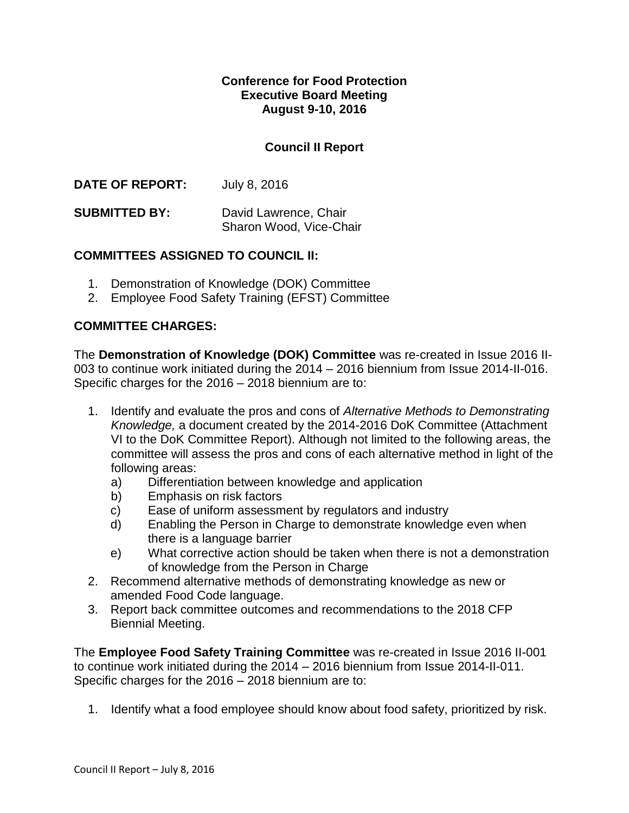### **Conference for Food Protection Executive Board Meeting August 9-10, 2016**

## **Council II Report**

**DATE OF REPORT:** July 8, 2016

**SUBMITTED BY:** David Lawrence, Chair Sharon Wood, Vice-Chair

### **COMMITTEES ASSIGNED TO COUNCIL II:**

- 1. Demonstration of Knowledge (DOK) Committee
- 2. Employee Food Safety Training (EFST) Committee

## **COMMITTEE CHARGES:**

The **Demonstration of Knowledge (DOK) Committee** was re-created in Issue 2016 II-003 to continue work initiated during the 2014 – 2016 biennium from Issue 2014-II-016. Specific charges for the 2016 – 2018 biennium are to:

- 1. Identify and evaluate the pros and cons of *Alternative Methods to Demonstrating Knowledge,* a document created by the 2014-2016 DoK Committee (Attachment VI to the DoK Committee Report). Although not limited to the following areas, the committee will assess the pros and cons of each alternative method in light of the following areas:
	- a) Differentiation between knowledge and application
	- b) Emphasis on risk factors
	- c) Ease of uniform assessment by regulators and industry
	- d) Enabling the Person in Charge to demonstrate knowledge even when there is a language barrier
	- e) What corrective action should be taken when there is not a demonstration of knowledge from the Person in Charge
- 2. Recommend alternative methods of demonstrating knowledge as new or amended Food Code language.
- 3. Report back committee outcomes and recommendations to the 2018 CFP Biennial Meeting.

The **Employee Food Safety Training Committee** was re-created in Issue 2016 II-001 to continue work initiated during the 2014 – 2016 biennium from Issue 2014-II-011. Specific charges for the 2016 – 2018 biennium are to:

1. Identify what a food employee should know about food safety, prioritized by risk.